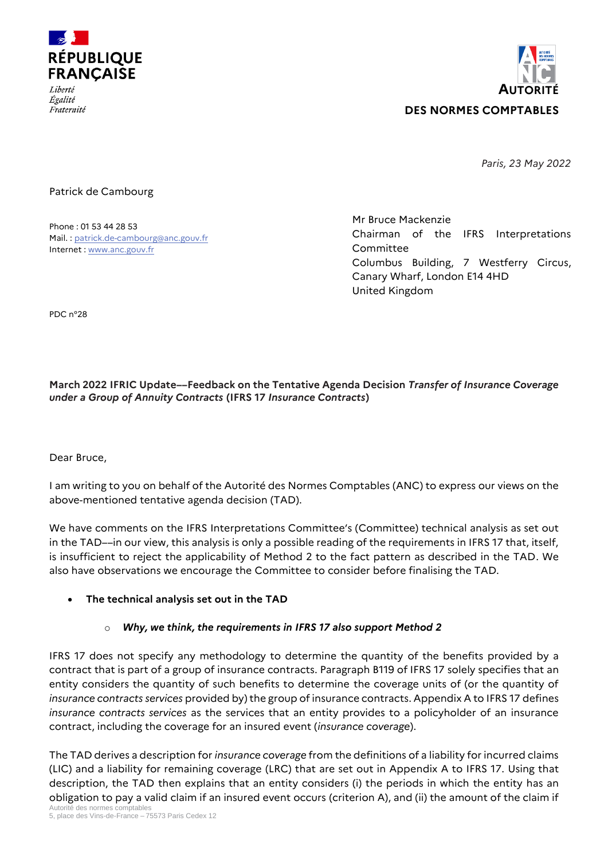



*Paris, 23 May 2022*

### Patrick de Cambourg

Phone : 01 53 44 28 53 Mail. [: patrick.de-cambourg@anc.gouv.fr](mailto:patrick.de-cambourg@anc.gouv.fr) Internet [: www.anc.gouv.fr](http://www.anc.gouv.fr/)

Mr Bruce Mackenzie Chairman of the IFRS Interpretations Committee Columbus Building, 7 Westferry Circus, Canary Wharf, London E14 4HD United Kingdom

PDC n°28

## **March 2022 IFRIC Update––Feedback on the Tentative Agenda Decision** *Transfer of Insurance Coverage under a Group of Annuity Contracts* **(IFRS 17** *Insurance Contracts***)**

Dear Bruce,

I am writing to you on behalf of the Autorité des Normes Comptables (ANC) to express our views on the above-mentioned tentative agenda decision (TAD).

We have comments on the IFRS Interpretations Committee's (Committee) technical analysis as set out in the TAD––in our view, this analysis is only a possible reading of the requirements in IFRS 17 that, itself, is insufficient to reject the applicability of Method 2 to the fact pattern as described in the TAD. We also have observations we encourage the Committee to consider before finalising the TAD.

## **The technical analysis set out in the TAD**

## o *Why, we think, the requirements in IFRS 17 also support Method 2*

IFRS 17 does not specify any methodology to determine the quantity of the benefits provided by a contract that is part of a group of insurance contracts. Paragraph B119 of IFRS 17 solely specifies that an entity considers the quantity of such benefits to determine the coverage units of (or the quantity of *insurance contracts services* provided by) the group of insurance contracts. Appendix A to IFRS 17 defines *insurance contracts services* as the services that an entity provides to a policyholder of an insurance contract, including the coverage for an insured event (*insurance coverage*).

The TAD derives a description for *insurance coverage* from the definitions of a liability for incurred claims (LIC) and a liability for remaining coverage (LRC) that are set out in Appendix A to IFRS 17. Using that description, the TAD then explains that an entity considers (i) the periods in which the entity has an obligation to pay a valid claim if an insured event occurs (criterion A), and (ii) the amount of the claim if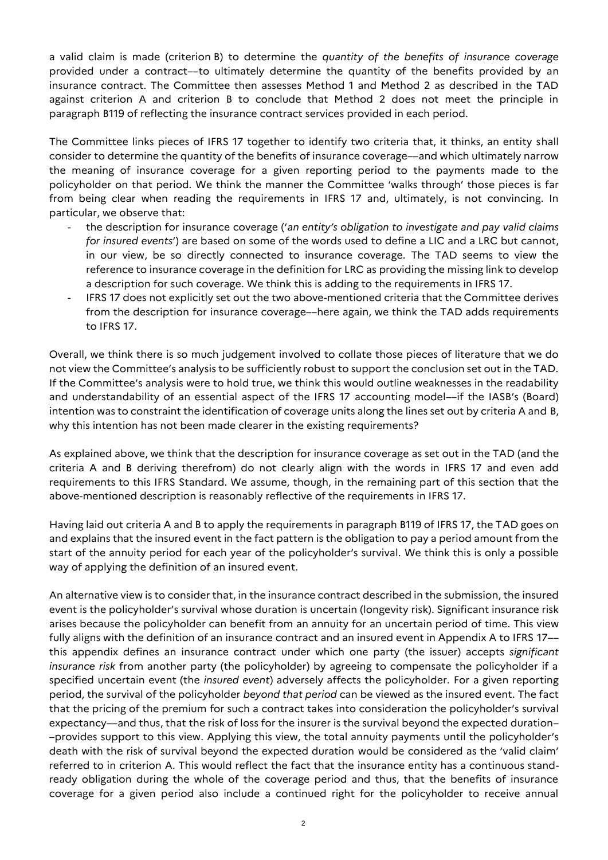a valid claim is made (criterion B) to determine the *quantity of the benefits of insurance coverage* provided under a contract––to ultimately determine the quantity of the benefits provided by an insurance contract. The Committee then assesses Method 1 and Method 2 as described in the TAD against criterion A and criterion B to conclude that Method 2 does not meet the principle in paragraph B119 of reflecting the insurance contract services provided in each period.

The Committee links pieces of IFRS 17 together to identify two criteria that, it thinks, an entity shall consider to determine the quantity of the benefits of insurance coverage––and which ultimately narrow the meaning of insurance coverage for a given reporting period to the payments made to the policyholder on that period*.* We think the manner the Committee 'walks through' those pieces is far from being clear when reading the requirements in IFRS 17 and, ultimately, is not convincing. In particular, we observe that:

- the description for insurance coverage ('*an entity's obligation to investigate and pay valid claims for insured events*') are based on some of the words used to define a LIC and a LRC but cannot, in our view, be so directly connected to insurance coverage. The TAD seems to view the reference to insurance coverage in the definition for LRC as providing the missing link to develop a description for such coverage. We think this is adding to the requirements in IFRS 17.
- IFRS 17 does not explicitly set out the two above-mentioned criteria that the Committee derives from the description for insurance coverage––here again, we think the TAD adds requirements to IFRS 17.

Overall, we think there is so much judgement involved to collate those pieces of literature that we do not view the Committee's analysis to be sufficiently robust to support the conclusion set out in the TAD. If the Committee's analysis were to hold true, we think this would outline weaknesses in the readability and understandability of an essential aspect of the IFRS 17 accounting model––if the IASB's (Board) intention was to constraint the identification of coverage units along the lines set out by criteria A and B, why this intention has not been made clearer in the existing requirements?

As explained above, we think that the description for insurance coverage as set out in the TAD (and the criteria A and B deriving therefrom) do not clearly align with the words in IFRS 17 and even add requirements to this IFRS Standard. We assume, though, in the remaining part of this section that the above-mentioned description is reasonably reflective of the requirements in IFRS 17.

Having laid out criteria A and B to apply the requirements in paragraph B119 of IFRS 17, the TAD goes on and explains that the insured event in the fact pattern is the obligation to pay a period amount from the start of the annuity period for each year of the policyholder's survival. We think this is only a possible way of applying the definition of an insured event.

An alternative view is to consider that, in the insurance contract described in the submission, the insured event is the policyholder's survival whose duration is uncertain (longevity risk). Significant insurance risk arises because the policyholder can benefit from an annuity for an uncertain period of time. This view fully aligns with the definition of an insurance contract and an insured event in Appendix A to IFRS 17–– this appendix defines an insurance contract under which one party (the issuer) accepts *significant insurance risk* from another party (the policyholder) by agreeing to compensate the policyholder if a specified uncertain event (the *insured event*) adversely affects the policyholder. For a given reporting period, the survival of the policyholder *beyond that period* can be viewed as the insured event. The fact that the pricing of the premium for such a contract takes into consideration the policyholder's survival expectancy––and thus, that the risk of loss for the insurer is the survival beyond the expected duration– –provides support to this view. Applying this view, the total annuity payments until the policyholder's death with the risk of survival beyond the expected duration would be considered as the 'valid claim' referred to in criterion A. This would reflect the fact that the insurance entity has a continuous standready obligation during the whole of the coverage period and thus, that the benefits of insurance coverage for a given period also include a continued right for the policyholder to receive annual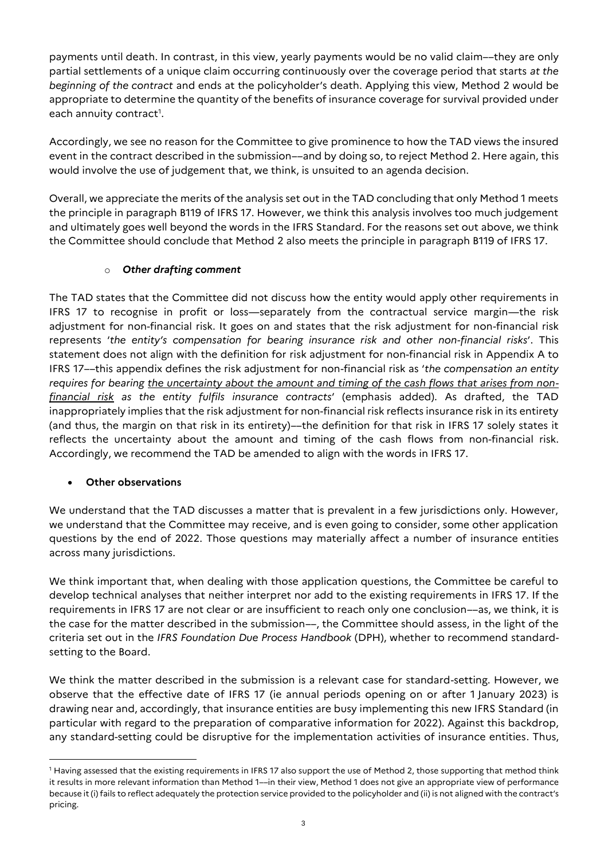payments until death. In contrast, in this view, yearly payments would be no valid claim––they are only partial settlements of a unique claim occurring continuously over the coverage period that starts *at the beginning of the contract* and ends at the policyholder's death. Applying this view, Method 2 would be appropriate to determine the quantity of the benefits of insurance coverage for survival provided under each annuity contract $^{\rm 1}.$ 

Accordingly, we see no reason for the Committee to give prominence to how the TAD views the insured event in the contract described in the submission––and by doing so, to reject Method 2. Here again, this would involve the use of judgement that, we think, is unsuited to an agenda decision.

Overall, we appreciate the merits of the analysis set out in the TAD concluding that only Method 1 meets the principle in paragraph B119 of IFRS 17. However, we think this analysis involves too much judgement and ultimately goes well beyond the words in the IFRS Standard. For the reasons set out above, we think the Committee should conclude that Method 2 also meets the principle in paragraph B119 of IFRS 17.

# o *Other drafting comment*

The TAD states that the Committee did not discuss how the entity would apply other requirements in IFRS 17 to recognise in profit or loss—separately from the contractual service margin—the risk adjustment for non-financial risk. It goes on and states that the risk adjustment for non-financial risk represents '*the entity's compensation for bearing insurance risk and other non-financial risks*'. This statement does not align with the definition for risk adjustment for non-financial risk in Appendix A to IFRS 17––this appendix defines the risk adjustment for non-financial risk as '*the compensation an entity requires for bearing the uncertainty about the amount and timing of the cash flows that arises from nonfinancial risk as the entity fulfils insurance contracts*' (emphasis added). As drafted, the TAD inappropriately implies that the risk adjustment for non-financial risk reflects insurance risk in its entirety (and thus, the margin on that risk in its entirety)––the definition for that risk in IFRS 17 solely states it reflects the uncertainty about the amount and timing of the cash flows from non-financial risk. Accordingly, we recommend the TAD be amended to align with the words in IFRS 17.

## **Other observations**

 $\overline{a}$ 

We understand that the TAD discusses a matter that is prevalent in a few jurisdictions only. However, we understand that the Committee may receive, and is even going to consider, some other application questions by the end of 2022. Those questions may materially affect a number of insurance entities across many jurisdictions.

We think important that, when dealing with those application questions, the Committee be careful to develop technical analyses that neither interpret nor add to the existing requirements in IFRS 17. If the requirements in IFRS 17 are not clear or are insufficient to reach only one conclusion––as, we think, it is the case for the matter described in the submission––, the Committee should assess, in the light of the criteria set out in the *IFRS Foundation Due Process Handbook* (DPH), whether to recommend standardsetting to the Board.

We think the matter described in the submission is a relevant case for standard-setting. However, we observe that the effective date of IFRS 17 (ie annual periods opening on or after 1 January 2023) is drawing near and, accordingly, that insurance entities are busy implementing this new IFRS Standard (in particular with regard to the preparation of comparative information for 2022). Against this backdrop, any standard-setting could be disruptive for the implementation activities of insurance entities. Thus,

<sup>&</sup>lt;sup>1</sup> Having assessed that the existing requirements in IFRS 17 also support the use of Method 2, those supporting that method think it results in more relevant information than Method 1––in their view, Method 1 does not give an appropriate view of performance because it (i) fails to reflect adequately the protection service provided to the policyholder and (ii) is not aligned with the contract's pricing.